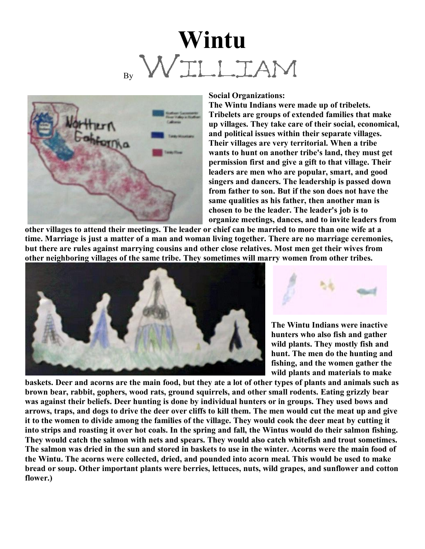## **Wintu** WILLIAM



## **Social Organizations:**

**The Wintu Indians were made up of tribelets. Tribelets are groups of extended families that make up villages. They take care of their social, economical, and political issues within their separate villages. Their villages are very territorial. When a tribe wants to hunt on another tribe's land, they must get permission first and give a gift to that village. Their leaders are men who are popular, smart, and good singers and dancers. The leadership is passed down from father to son. But if the son does not have the same qualities as his father, then another man is chosen to be the leader. The leader's job is to organize meetings, dances, and to invite leaders from**

**other villages to attend their meetings. The leader or chief can be married to more than one wife at a time. Marriage is just a matter of a man and woman living together. There are no marriage ceremonies, but there are rules against marrying cousins and other close relatives. Most men get their wives from other neighboring villages of the same tribe. They sometimes will marry women from other tribes.**





**The Wintu Indians were inactive hunters who also fish and gather wild plants. They mostly fish and hunt. The men do the hunting and fishing, and the women gather the wild plants and materials to make** 

**baskets. Deer and acorns are the main food, but they ate a lot of other types of plants and animals such as brown bear, rabbit, gophers, wood rats, ground squirrels, and other small rodents. Eating grizzly bear was against their beliefs. Deer hunting is done by individual hunters or in groups. They used bows and arrows, traps, and dogs to drive the deer over cliffs to kill them. The men would cut the meat up and give it to the women to divide among the families of the village. They would cook the deer meat by cutting it into strips and roasting it over hot coals. In the spring and fall, the Wintus would do their salmon fishing. They would catch the salmon with nets and spears. They would also catch whitefish and trout sometimes. The salmon was dried in the sun and stored in baskets to use in the winter. Acorns were the main food of the Wintu. The acorns were collected, dried, and pounded into acorn meal. This would be used to make bread or soup. Other important plants were berries, lettuces, nuts, wild grapes, and sunflower and cotton flower.)**